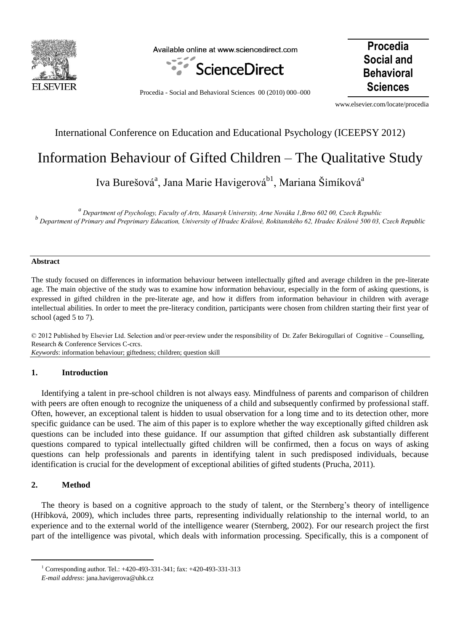

Available online at www.sciencedirect.com



**Procedia Social and Behavioral** 

**Sciences** Procedia - Social and Behavioral Sciences 00 (2010) 000–000

www.elsevier.com/locate/procedia

## International Conference on Education and Educational Psychology (ICEEPSY 2012)

# Information Behaviour of Gifted Children – The Qualitative Study

Iva Burešová<sup>a</sup>, Jana Marie Havigerová<sup>b1</sup>, Mariana Šimíková<sup>a</sup>

*a Department of Psychology, Faculty of Arts, Masaryk University, Arne Nováka 1,Brno 602 00, Czech Republic b Department of Primary and Preprimary Education, University of Hradec Králové, Rokitanského 62, Hradec Králové 500 03, Czech Republic*

#### **Abstract**

The study focused on differences in information behaviour between intellectually gifted and average children in the pre-literate age. The main objective of the study was to examine how information behaviour, especially in the form of asking questions, is expressed in gifted children in the pre-literate age, and how it differs from information behaviour in children with average intellectual abilities. In order to meet the pre-literacy condition, participants were chosen from children starting their first year of school (aged 5 to 7).

© 2012 Published by Elsevier Ltd. Selection and/or peer-review under the responsibility of Dr. Zafer Bekirogullari of Cognitive – Counselling, Research & Conference Services C-crcs. *Keywords*: information behaviour; giftedness; children; question skill

#### **1. Introduction**

Identifying a talent in pre-school children is not always easy. Mindfulness of parents and comparison of children with peers are often enough to recognize the uniqueness of a child and subsequently confirmed by professional staff. Often, however, an exceptional talent is hidden to usual observation for a long time and to its detection other, more specific guidance can be used. The aim of this paper is to explore whether the way exceptionally gifted children ask questions can be included into these guidance. If our assumption that gifted children ask substantially different questions compared to typical intellectually gifted children will be confirmed, then a focus on ways of asking questions can help professionals and parents in identifying talent in such predisposed individuals, because identification is crucial for the development of exceptional abilities of gifted students (Prucha, 2011).

### **2. Method**

 $\overline{a}$ 

The theory is based on a cognitive approach to the study of talent, or the Sternberg's theory of intelligence (Hříbková, 2009), which includes three parts, representing individually relationship to the internal world, to an experience and to the external world of the intelligence wearer (Sternberg, 2002). For our research project the first part of the intelligence was pivotal, which deals with information processing. Specifically, this is a component of

<sup>1</sup> Corresponding author. Tel.: +420-493-331-341; fax: +420-493-331-313

*E-mail address*: jana.havigerova@uhk.cz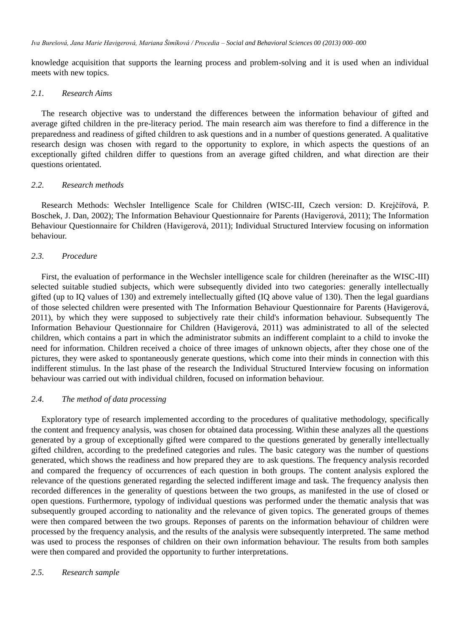knowledge acquisition that supports the learning process and problem-solving and it is used when an individual meets with new topics.

## *2.1. Research Aims*

The research objective was to understand the differences between the information behaviour of gifted and average gifted children in the pre-literacy period. The main research aim was therefore to find a difference in the preparedness and readiness of gifted children to ask questions and in a number of questions generated. A qualitative research design was chosen with regard to the opportunity to explore, in which aspects the questions of an exceptionally gifted children differ to questions from an average gifted children, and what direction are their questions orientated.

## *2.2. Research methods*

Research Methods: Wechsler Intelligence Scale for Children (WISC-III, Czech version: D. Krejčířová, P. Boschek, J. Dan, 2002); The Information Behaviour Questionnaire for Parents (Havigerová, 2011); The Information Behaviour Questionnaire for Children (Havigerová, 2011); Individual Structured Interview focusing on information behaviour.

## *2.3. Procedure*

First, the evaluation of performance in the Wechsler intelligence scale for children (hereinafter as the WISC-III) selected suitable studied subjects, which were subsequently divided into two categories: generally intellectually gifted (up to IQ values of 130) and extremely intellectually gifted (IQ above value of 130). Then the legal guardians of those selected children were presented with The Information Behaviour Questionnaire for Parents (Havigerová, 2011), by which they were supposed to subjectively rate their child's information behaviour. Subsequently The Information Behaviour Questionnaire for Children (Havigerová, 2011) was administrated to all of the selected children, which contains a part in which the administrator submits an indifferent complaint to a child to invoke the need for information. Children received a choice of three images of unknown objects, after they chose one of the pictures, they were asked to spontaneously generate questions, which come into their minds in connection with this indifferent stimulus. In the last phase of the research the Individual Structured Interview focusing on information behaviour was carried out with individual children, focused on information behaviour.

## *2.4. The method of data processing*

Exploratory type of research implemented according to the procedures of qualitative methodology, specifically the content and frequency analysis, was chosen for obtained data processing. Within these analyzes all the questions generated by a group of exceptionally gifted were compared to the questions generated by generally intellectually gifted children, according to the predefined categories and rules. The basic category was the number of questions generated, which shows the readiness and how prepared they are to ask questions. The frequency analysis recorded and compared the frequency of occurrences of each question in both groups. The content analysis explored the relevance of the questions generated regarding the selected indifferent image and task. The frequency analysis then recorded differences in the generality of questions between the two groups, as manifested in the use of closed or open questions. Furthermore, typology of individual questions was performed under the thematic analysis that was subsequently grouped according to nationality and the relevance of given topics. The generated groups of themes were then compared between the two groups. Reponses of parents on the information behaviour of children were processed by the frequency analysis, and the results of the analysis were subsequently interpreted. The same method was used to process the responses of children on their own information behaviour. The results from both samples were then compared and provided the opportunity to further interpretations.

## *2.5. Research sample*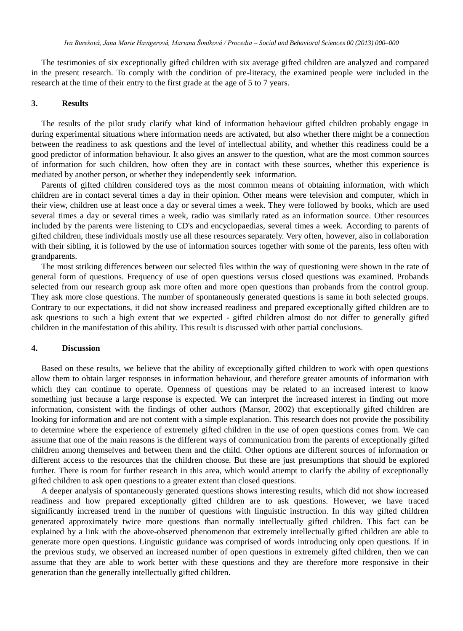The testimonies of six exceptionally gifted children with six average gifted children are analyzed and compared in the present research. To comply with the condition of pre-literacy, the examined people were included in the research at the time of their entry to the first grade at the age of 5 to 7 years.

#### **3. Results**

The results of the pilot study clarify what kind of information behaviour gifted children probably engage in during experimental situations where information needs are activated, but also whether there might be a connection between the readiness to ask questions and the level of intellectual ability, and whether this readiness could be a good predictor of information behaviour. It also gives an answer to the question, what are the most common sources of information for such children, how often they are in contact with these sources, whether this experience is mediated by another person, or whether they independently seek information.

Parents of gifted children considered toys as the most common means of obtaining information, with which children are in contact several times a day in their opinion. Other means were television and computer, which in their view, children use at least once a day or several times a week. They were followed by books, which are used several times a day or several times a week, radio was similarly rated as an information source. Other resources included by the parents were listening to CD's and encyclopaedias, several times a week. According to parents of gifted children, these individuals mostly use all these resources separately. Very often, however, also in collaboration with their sibling, it is followed by the use of information sources together with some of the parents, less often with grandparents.

The most striking differences between our selected files within the way of questioning were shown in the rate of general form of questions. Frequency of use of open questions versus closed questions was examined. Probands selected from our research group ask more often and more open questions than probands from the control group. They ask more close questions. The number of spontaneously generated questions is same in both selected groups. Contrary to our expectations, it did not show increased readiness and prepared exceptionally gifted children are to ask questions to such a high extent that we expected - gifted children almost do not differ to generally gifted children in the manifestation of this ability. This result is discussed with other partial conclusions.

#### **4. Discussion**

Based on these results, we believe that the ability of exceptionally gifted children to work with open questions allow them to obtain larger responses in information behaviour, and therefore greater amounts of information with which they can continue to operate. Openness of questions may be related to an increased interest to know something just because a large response is expected. We can interpret the increased interest in finding out more information, consistent with the findings of other authors (Mansor, 2002) that exceptionally gifted children are looking for information and are not content with a simple explanation. This research does not provide the possibility to determine where the experience of extremely gifted children in the use of open questions comes from. We can assume that one of the main reasons is the different ways of communication from the parents of exceptionally gifted children among themselves and between them and the child. Other options are different sources of information or different access to the resources that the children choose. But these are just presumptions that should be explored further. There is room for further research in this area, which would attempt to clarify the ability of exceptionally gifted children to ask open questions to a greater extent than closed questions.

A deeper analysis of spontaneously generated questions shows interesting results, which did not show increased readiness and how prepared exceptionally gifted children are to ask questions. However, we have traced significantly increased trend in the number of questions with linguistic instruction. In this way gifted children generated approximately twice more questions than normally intellectually gifted children. This fact can be explained by a link with the above-observed phenomenon that extremely intellectually gifted children are able to generate more open questions. Linguistic guidance was comprised of words introducing only open questions. If in the previous study, we observed an increased number of open questions in extremely gifted children, then we can assume that they are able to work better with these questions and they are therefore more responsive in their generation than the generally intellectually gifted children.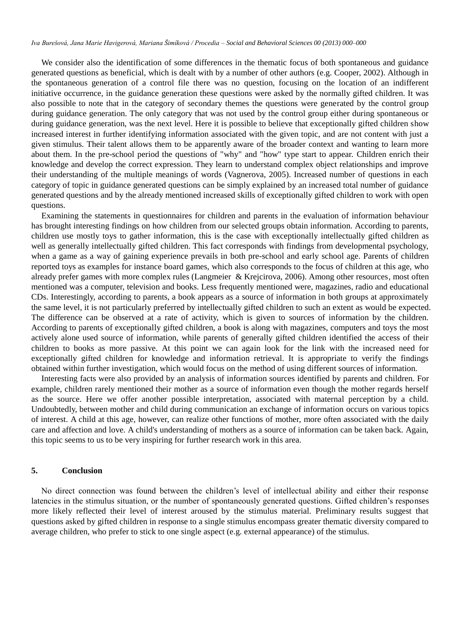We consider also the identification of some differences in the thematic focus of both spontaneous and guidance generated questions as beneficial, which is dealt with by a number of other authors (e.g. Cooper, 2002). Although in the spontaneous generation of a control file there was no question, focusing on the location of an indifferent initiative occurrence, in the guidance generation these questions were asked by the normally gifted children. It was also possible to note that in the category of secondary themes the questions were generated by the control group during guidance generation. The only category that was not used by the control group either during spontaneous or during guidance generation, was the next level. Here it is possible to believe that exceptionally gifted children show increased interest in further identifying information associated with the given topic, and are not content with just a given stimulus. Their talent allows them to be apparently aware of the broader context and wanting to learn more about them. In the pre-school period the questions of "why" and "how" type start to appear. Children enrich their knowledge and develop the correct expression. They learn to understand complex object relationships and improve their understanding of the multiple meanings of words (Vagnerova, 2005). Increased number of questions in each category of topic in guidance generated questions can be simply explained by an increased total number of guidance generated questions and by the already mentioned increased skills of exceptionally gifted children to work with open questions.

Examining the statements in questionnaires for children and parents in the evaluation of information behaviour has brought interesting findings on how children from our selected groups obtain information. According to parents, children use mostly toys to gather information, this is the case with exceptionally intellectually gifted children as well as generally intellectually gifted children. This fact corresponds with findings from developmental psychology, when a game as a way of gaining experience prevails in both pre-school and early school age. Parents of children reported toys as examples for instance board games, which also corresponds to the focus of children at this age, who already prefer games with more complex rules (Langmeier & Krejcirova, 2006). Among other resources, most often mentioned was a computer, television and books. Less frequently mentioned were, magazines, radio and educational CDs. Interestingly, according to parents, a book appears as a source of information in both groups at approximately the same level, it is not particularly preferred by intellectually gifted children to such an extent as would be expected. The difference can be observed at a rate of activity, which is given to sources of information by the children. According to parents of exceptionally gifted children, a book is along with magazines, computers and toys the most actively alone used source of information, while parents of generally gifted children identified the access of their children to books as more passive. At this point we can again look for the link with the increased need for exceptionally gifted children for knowledge and information retrieval. It is appropriate to verify the findings obtained within further investigation, which would focus on the method of using different sources of information.

Interesting facts were also provided by an analysis of information sources identified by parents and children. For example, children rarely mentioned their mother as a source of information even though the mother regards herself as the source. Here we offer another possible interpretation, associated with maternal perception by a child. Undoubtedly, between mother and child during communication an exchange of information occurs on various topics of interest. A child at this age, however, can realize other functions of mother, more often associated with the daily care and affection and love. A child's understanding of mothers as a source of information can be taken back. Again, this topic seems to us to be very inspiring for further research work in this area.

#### **5. Conclusion**

No direct connection was found between the children's level of intellectual ability and either their response latencies in the stimulus situation, or the number of spontaneously generated questions. Gifted children's responses more likely reflected their level of interest aroused by the stimulus material. Preliminary results suggest that questions asked by gifted children in response to a single stimulus encompass greater thematic diversity compared to average children, who prefer to stick to one single aspect (e.g. external appearance) of the stimulus.